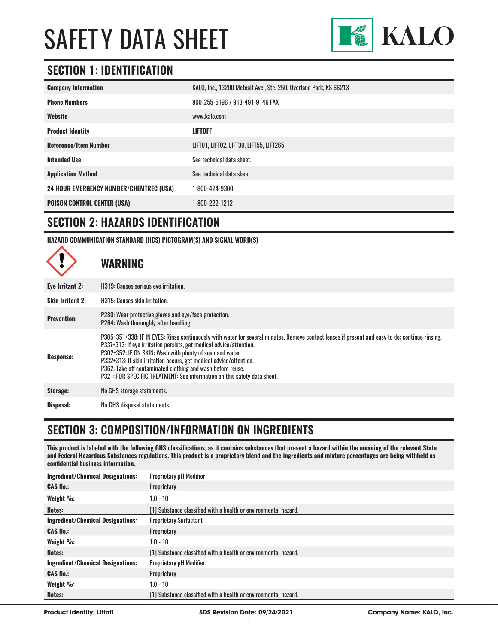

### **SECTION 1: IDENTIFICATION**

| <b>Company Information</b>                     | KALO, Inc., 13200 Metcalf Ave., Ste. 250, Overland Park, KS 66213 |
|------------------------------------------------|-------------------------------------------------------------------|
| <b>Phone Numbers</b>                           | 800-255-5196 / 913-491-9146 FAX                                   |
| Website                                        | www.kalo.com                                                      |
| <b>Product Identity</b>                        | <b>LIFTOFF</b>                                                    |
| <b>Reference/Item Number</b>                   | LIFT01, LIFT02, LIFT30, LIFT55, LIFT265                           |
| <b>Intended Use</b>                            | See technical data sheet.                                         |
| <b>Application Method</b>                      | See technical data sheet.                                         |
| <b>24 HOUR EMERGENCY NUMBER/CHEMTREC (USA)</b> | 1-800-424-9300                                                    |
| <b>POISON CONTROL CENTER (USA)</b>             | 1-800-222-1212                                                    |

#### **SECTION 2: HAZARDS IDENTIFICATION**

 $\blacktriangle$ 

**HAZARD COMMUNICATION STANDARD (HCS) PICTOGRAM(S) AND SIGNAL WORD(S)**

|                         | <b>WARNING</b>                                                                                                                                                                                                                                                                                                                                                                                                                                                                                       |
|-------------------------|------------------------------------------------------------------------------------------------------------------------------------------------------------------------------------------------------------------------------------------------------------------------------------------------------------------------------------------------------------------------------------------------------------------------------------------------------------------------------------------------------|
| Eye Irritant 2:         | H319: Causes serious eye irritation.                                                                                                                                                                                                                                                                                                                                                                                                                                                                 |
| <b>Skin Irritant 2:</b> | H315: Causes skin irritation.                                                                                                                                                                                                                                                                                                                                                                                                                                                                        |
| <b>Prevention:</b>      | P280: Wear protective gloves and eye/face protection.<br>P264: Wash thoroughly after handling.                                                                                                                                                                                                                                                                                                                                                                                                       |
| Response:               | P305+351+338: IF IN EYES: Rinse continuously with water for several minutes. Remove contact lenses if present and easy to do; continue rinsing.<br>P337+313: If eye irritation persists, get medical advice/attention.<br>P302+352: IF ON SKIN: Wash with plenty of soap and water.<br>P332+313: If skin irritation occurs, get medical advice/attention.<br>P362: Take off contaminated clothing and wash before reuse.<br>P321: FOR SPECIFIC TREATMENT: See information on this safety data sheet. |
| Storage:                | No GHS storage statements.                                                                                                                                                                                                                                                                                                                                                                                                                                                                           |
| Disposal:               | No GHS disposal statements.                                                                                                                                                                                                                                                                                                                                                                                                                                                                          |

### **SECTION 3: COMPOSITION/INFORMATION ON INGREDIENTS**

**This product is labeled with the following GHS classifications, as it contains substances that present a hazard within the meaning of the relevant State and Federal Hazardous Substances regulations. This product is a proprietary blend and the ingredients and mixture percentages are being withheld as confidential business information.**

| <b>Ingredient/Chemical Designations:</b> | <b>Proprietary pH Modifier</b>                                  |
|------------------------------------------|-----------------------------------------------------------------|
| <b>CAS No.:</b>                          | Proprietary                                                     |
| Weight %:                                | $1.0 - 10$                                                      |
| Notes:                                   | [1] Substance classified with a health or environmental hazard. |
| <b>Ingredient/Chemical Designations:</b> | <b>Proprietary Surfactant</b>                                   |
| <b>CAS No.:</b>                          | Proprietary                                                     |
| Weight %:                                | $1.0 - 10$                                                      |
| Notes:                                   | [1] Substance classified with a health or environmental hazard. |
| <b>Ingredient/Chemical Designations:</b> | <b>Proprietary pH Modifier</b>                                  |
| <b>CAS No.:</b>                          | Proprietary                                                     |
| Weight %:                                | $1.0 - 10$                                                      |
| Notes:                                   | [1] Substance classified with a health or environmental hazard. |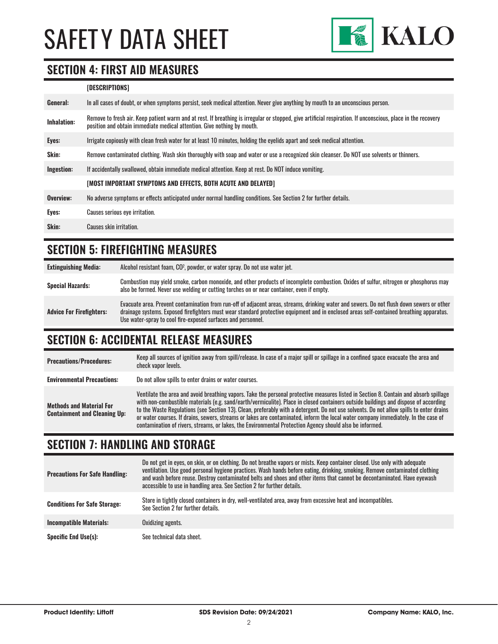

### **SECTION 4: FIRST AID MEASURES**

#### **[DESCRIPTIONS]**

| General:           | In all cases of doubt, or when symptoms persist, seek medical attention. Never give anything by mouth to an unconscious person.                                                                                                         |
|--------------------|-----------------------------------------------------------------------------------------------------------------------------------------------------------------------------------------------------------------------------------------|
| <b>Inhalation:</b> | Remove to fresh air. Keep patient warm and at rest. If breathing is irregular or stopped, give artificial respiration. If unconscious, place in the recovery<br>position and obtain immediate medical attention. Give nothing by mouth. |
| Eyes:              | Irrigate copiously with clean fresh water for at least 10 minutes, holding the eyelids apart and seek medical attention.                                                                                                                |
| Skin:              | Remove contaminated clothing. Wash skin thoroughly with soap and water or use a recognized skin cleanser. Do NOT use solvents or thinners.                                                                                              |
| Ingestion:         | If accidentally swallowed, obtain immediate medical attention. Keep at rest. Do NOT induce vomiting.                                                                                                                                    |
|                    | [MOST IMPORTANT SYMPTOMS AND EFFECTS, BOTH ACUTE AND DELAYED]                                                                                                                                                                           |
| Overview:          | No adverse symptoms or effects anticipated under normal handling conditions. See Section 2 for further details.                                                                                                                         |
| Eyes:              | Causes serious eye irritation.                                                                                                                                                                                                          |
| Skin:              | Causes skin irritation.                                                                                                                                                                                                                 |

### **SECTION 5: FIREFIGHTING MEASURES**

| <b>Extinguishing Media:</b>     | Alcohol resistant foam, CO <sup>2</sup> , powder, or water spray. Do not use water jet.                                                                                                                                                                                                                                                                |
|---------------------------------|--------------------------------------------------------------------------------------------------------------------------------------------------------------------------------------------------------------------------------------------------------------------------------------------------------------------------------------------------------|
| <b>Special Hazards:</b>         | Combustion may yield smoke, carbon monoxide, and other products of incomplete combustion. Oxides of sulfur, nitrogen or phosphorus may<br>also be formed. Never use welding or cutting torches on or near container, even if empty.                                                                                                                    |
| <b>Advice For Firefighters:</b> | Evacuate area. Prevent contamination from run-off of adjacent areas, streams, drinking water and sewers. Do not flush down sewers or other<br>drainage systems. Exposed firefighters must wear standard protective equipment and in enclosed areas self-contained breathing apparatus.<br>Use water-spray to cool fire-exposed surfaces and personnel. |

#### **SECTION 6: ACCIDENTAL RELEASE MEASURES**

| <b>Precautions/Procedures:</b>                                         | Keep all sources of ignition away from spill/release. In case of a major spill or spillage in a confined space evacuate the area and<br>check vapor levels.                                                                                                                                                                                                                                                                                                                                                                                                                                                                                                               |
|------------------------------------------------------------------------|---------------------------------------------------------------------------------------------------------------------------------------------------------------------------------------------------------------------------------------------------------------------------------------------------------------------------------------------------------------------------------------------------------------------------------------------------------------------------------------------------------------------------------------------------------------------------------------------------------------------------------------------------------------------------|
| <b>Environmental Precautions:</b>                                      | Do not allow spills to enter drains or water courses.                                                                                                                                                                                                                                                                                                                                                                                                                                                                                                                                                                                                                     |
| <b>Methods and Material For</b><br><b>Containment and Cleaning Up:</b> | Ventilate the area and avoid breathing vapors. Take the personal protective measures listed in Section 8. Contain and absorb spillage<br>with non-combustible materials (e.g. sand/earth/vermiculite). Place in closed containers outside buildings and dispose of according<br>to the Waste Regulations (see Section 13). Clean, preferably with a detergent. Do not use solvents. Do not allow spills to enter drains<br>or water courses. If drains, sewers, streams or lakes are contaminated, inform the local water company immediately. In the case of<br>contamination of rivers, streams, or lakes, the Environmental Protection Agency should also be informed. |

### **SECTION 7: HANDLING AND STORAGE**

| <b>Precautions For Safe Handling:</b> | Do not get in eyes, on skin, or on clothing. Do not breathe vapors or mists. Keep container closed. Use only with adequate<br>ventilation. Use good personal hygiene practices. Wash hands before eating, drinking, smoking. Remove contaminated clothing<br>and wash before reuse. Destroy contaminated belts and shoes and other items that cannot be decontaminated. Have eyewash<br>accessible to use in handling area. See Section 2 for further details. |
|---------------------------------------|----------------------------------------------------------------------------------------------------------------------------------------------------------------------------------------------------------------------------------------------------------------------------------------------------------------------------------------------------------------------------------------------------------------------------------------------------------------|
| <b>Conditions For Safe Storage:</b>   | Store in tightly closed containers in dry, well-ventilated area, away from excessive heat and incompatibles.<br>See Section 2 for further details.                                                                                                                                                                                                                                                                                                             |
| <b>Incompatible Materials:</b>        | Oxidizing agents.                                                                                                                                                                                                                                                                                                                                                                                                                                              |
| <b>Specific End Use(s):</b>           | See technical data sheet.                                                                                                                                                                                                                                                                                                                                                                                                                                      |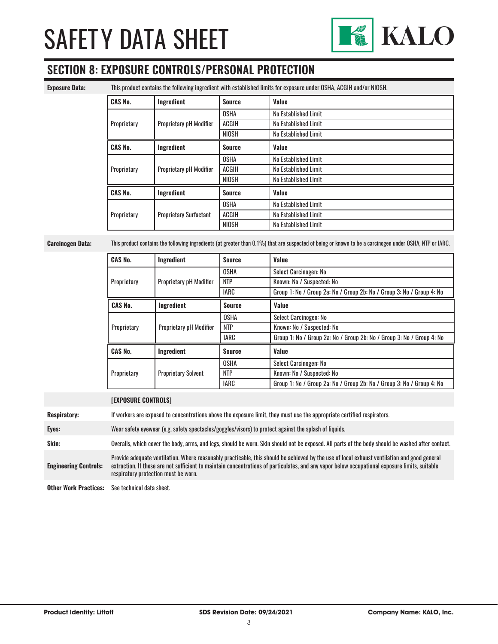

### **SECTION 8: EXPOSURE CONTROLS/PERSONAL PROTECTION**

**Exposure Data:** This product contains the following ingredient with established limits for exposure under OSHA, ACGIH and/or NIOSH.

| <b>CAS No.</b> | Ingredient                     | <b>Source</b> | Value                |
|----------------|--------------------------------|---------------|----------------------|
| Proprietary    |                                | <b>OSHA</b>   | No Established Limit |
|                | Proprietary pH Modifier        | <b>ACGIH</b>  | No Established Limit |
|                |                                | <b>NIOSH</b>  | No Established Limit |
| <b>CAS No.</b> | Ingredient                     | <b>Source</b> | Value                |
| Proprietary    |                                | <b>OSHA</b>   | No Established Limit |
|                | <b>Proprietary pH Modifier</b> | <b>ACGIH</b>  | No Established Limit |
|                |                                | <b>NIOSH</b>  | No Established Limit |
| <b>CAS No.</b> | Ingredient                     | <b>Source</b> | Value                |
|                |                                | <b>OSHA</b>   | No Established Limit |
| Proprietary    | <b>Proprietary Surfactant</b>  | <b>ACGIH</b>  | No Established Limit |
|                |                                | <b>NIOSH</b>  | No Established Limit |

**Carcinogen Data:** This product contains the following ingredients (at greater than 0.1%) that are suspected of being or known to be a carcinogen under OSHA, NTP or IARC.

| <b>CAS No.</b> | <b>Ingredient</b>              | <b>Source</b> | Value                                                                 |
|----------------|--------------------------------|---------------|-----------------------------------------------------------------------|
| Proprietary    |                                | <b>OSHA</b>   | Select Carcinogen: No                                                 |
|                | <b>Proprietary pH Modifier</b> | <b>NTP</b>    | Known: No / Suspected: No                                             |
|                |                                | <b>IARC</b>   | Group 1: No / Group 2a: No / Group 2b: No / Group 3: No / Group 4: No |
| <b>CAS No.</b> | Ingredient                     | <b>Source</b> | Value                                                                 |
| Proprietary    |                                | <b>OSHA</b>   | Select Carcinogen: No                                                 |
|                | <b>Proprietary pH Modifier</b> | <b>NTP</b>    | Known: No / Suspected: No                                             |
|                |                                | <b>IARC</b>   | Group 1: No / Group 2a: No / Group 2b: No / Group 3: No / Group 4: No |
| <b>CAS No.</b> | Ingredient                     | <b>Source</b> | Value                                                                 |
| Proprietary    |                                | <b>OSHA</b>   | Select Carcinogen: No                                                 |
|                | <b>Proprietary Solvent</b>     | <b>NTP</b>    | Known: No / Suspected: No                                             |
|                |                                | <b>IARC</b>   | Group 1: No / Group 2a: No / Group 2b: No / Group 3: No / Group 4: No |

|                              | <b>[EXPOSURE CONTROLS]</b>                                                                                                                                                                                                                                                                                                             |
|------------------------------|----------------------------------------------------------------------------------------------------------------------------------------------------------------------------------------------------------------------------------------------------------------------------------------------------------------------------------------|
| <b>Respiratory:</b>          | If workers are exposed to concentrations above the exposure limit, they must use the appropriate certified respirators.                                                                                                                                                                                                                |
| Eyes:                        | Wear safety eyewear (e.g. safety spectacles/goggles/visors) to protect against the splash of liquids.                                                                                                                                                                                                                                  |
| Skin:                        | Overalls, which cover the body, arms, and legs, should be worn. Skin should not be exposed. All parts of the body should be washed after contact.                                                                                                                                                                                      |
| <b>Engineering Controls:</b> | Provide adequate ventilation. Where reasonably practicable, this should be achieved by the use of local exhaust ventilation and good general<br>extraction. If these are not sufficient to maintain concentrations of particulates, and any vapor below occupational exposure limits, suitable<br>respiratory protection must be worn. |
| <b>Other Work Practices:</b> | See technical data sheet.                                                                                                                                                                                                                                                                                                              |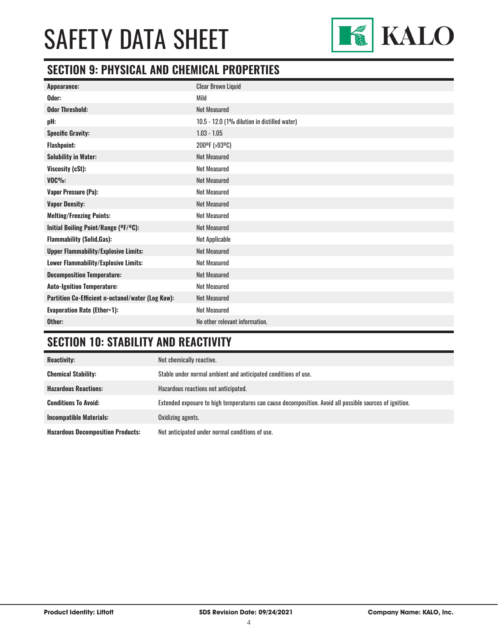

### **SECTION 9: PHYSICAL AND CHEMICAL PROPERTIES**

| Appearance:                                       | <b>Clear Brown Liquid</b>                    |
|---------------------------------------------------|----------------------------------------------|
| Odor:                                             | Mild                                         |
| <b>Odor Threshold:</b>                            | Not Measured                                 |
| pH:                                               | 10.5 - 12.0 (1% dilution in distilled water) |
| <b>Specific Gravity:</b>                          | $1.03 - 1.05$                                |
| <b>Flashpoint:</b>                                | 200ºF (>93ºC)                                |
| <b>Solubility in Water:</b>                       | <b>Not Measured</b>                          |
| Viscosity (cSt):                                  | <b>Not Measured</b>                          |
| <b>VOC%:</b>                                      | <b>Not Measured</b>                          |
| Vapor Pressure (Pa):                              | <b>Not Measured</b>                          |
| <b>Vapor Density:</b>                             | <b>Not Measured</b>                          |
| <b>Melting/Freezing Points:</b>                   | <b>Not Measured</b>                          |
| Initial Boiling Point/Range (°F/°C):              | <b>Not Measured</b>                          |
| <b>Flammability (Solid, Gas):</b>                 | Not Applicable                               |
| <b>Upper Flammability/Explosive Limits:</b>       | <b>Not Measured</b>                          |
| Lower Flammability/Explosive Limits:              | <b>Not Measured</b>                          |
| <b>Decomposition Temperature:</b>                 | <b>Not Measured</b>                          |
| <b>Auto-Ignition Temperature:</b>                 | <b>Not Measured</b>                          |
| Partition Co-Efficient n-octanol/water (Log Kow): | <b>Not Measured</b>                          |
| <b>Evaporation Rate (Ether=1):</b>                | <b>Not Measured</b>                          |
| Other:                                            | No other relevant information.               |

## **SECTION 10: STABILITY AND REACTIVITY**

| <b>Reactivity:</b>                       | Not chemically reactive.                                                                                |
|------------------------------------------|---------------------------------------------------------------------------------------------------------|
| <b>Chemical Stability:</b>               | Stable under normal ambient and anticipated conditions of use.                                          |
| <b>Hazardous Reactions:</b>              | Hazardous reactions not anticipated.                                                                    |
| <b>Conditions To Avoid:</b>              | Extended exposure to high temperatures can cause decomposition. Avoid all possible sources of ignition. |
| <b>Incompatible Materials:</b>           | Oxidizing agents.                                                                                       |
| <b>Hazardous Decomposition Products:</b> | Not anticipated under normal conditions of use.                                                         |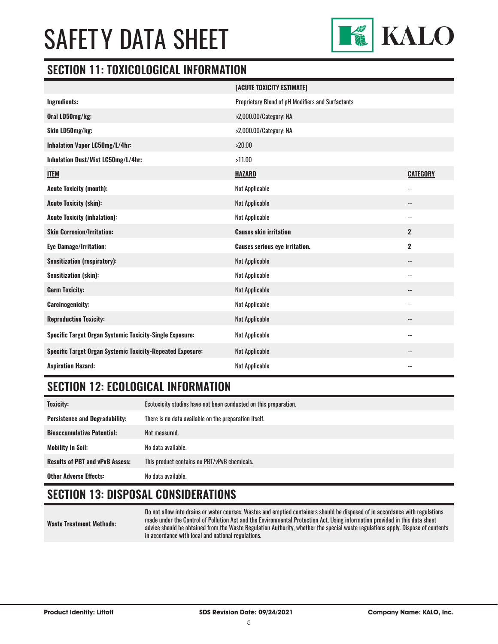

#### **SECTION 11: TOXICOLOGICAL INFORMATION**

|                                                                   | [ACUTE TOXICITY ESTIMATE]                         |                            |
|-------------------------------------------------------------------|---------------------------------------------------|----------------------------|
| Ingredients:                                                      | Proprietary Blend of pH Modifiers and Surfactants |                            |
| Oral LD50mg/kg:                                                   | >2,000.00/Category: NA                            |                            |
| Skin LD50mg/kg:                                                   | >2,000.00/Category: NA                            |                            |
| Inhalation Vapor LC50mg/L/4hr:                                    | >20.00                                            |                            |
| Inhalation Dust/Mist LC50mg/L/4hr:                                | >11.00                                            |                            |
| <b>ITEM</b>                                                       | <b>HAZARD</b>                                     | <b>CATEGORY</b>            |
| <b>Acute Toxicity (mouth):</b>                                    | Not Applicable                                    | $\overline{\phantom{a}}$   |
| <b>Acute Toxicity (skin):</b>                                     | Not Applicable                                    | $\overline{\phantom{a}}$   |
| <b>Acute Toxicity (inhalation):</b>                               | Not Applicable                                    | $-$                        |
| <b>Skin Corrosion/Irritation:</b>                                 | <b>Causes skin irritation</b>                     | $\overline{2}$             |
| <b>Eye Damage/Irritation:</b>                                     | <b>Causes serious eye irritation.</b>             | $\overline{2}$             |
| <b>Sensitization (respiratory):</b>                               | Not Applicable                                    | $\overline{\phantom{a}}$   |
| Sensitization (skin):                                             | Not Applicable                                    | $\overline{\phantom{a}}$ . |
| <b>Germ Toxicity:</b>                                             | Not Applicable                                    | $-$                        |
| <b>Carcinogenicity:</b>                                           | <b>Not Applicable</b>                             | $\overline{\phantom{a}}$ . |
| <b>Reproductive Toxicity:</b>                                     | Not Applicable                                    |                            |
| <b>Specific Target Organ Systemic Toxicity-Single Exposure:</b>   | Not Applicable                                    | $\overline{\phantom{a}}$   |
| <b>Specific Target Organ Systemic Toxicity-Repeated Exposure:</b> | Not Applicable                                    | $\overline{\phantom{a}}$   |
| <b>Aspiration Hazard:</b>                                         | <b>Not Applicable</b>                             |                            |

### **SECTION 12: ECOLOGICAL INFORMATION**

| <b>Toxicity:</b>                       | Ecotoxicity studies have not been conducted on this preparation. |
|----------------------------------------|------------------------------------------------------------------|
| <b>Persistence and Degradability:</b>  | There is no data available on the preparation itself.            |
| <b>Bioaccumulative Potential:</b>      | Not measured.                                                    |
| <b>Mobility In Soil:</b>               | No data available.                                               |
| <b>Results of PBT and vPvB Assess:</b> | This product contains no PBT/vPvB chemicals.                     |
| <b>Other Adverse Effects:</b>          | No data available.                                               |

### **SECTION 13: DISPOSAL CONSIDERATIONS**

|  | <b>Waste Treatment Methods:</b> |  |
|--|---------------------------------|--|
|--|---------------------------------|--|

Do not allow into drains or water courses. Wastes and emptied containers should be disposed of in accordance with regulations made under the Control of Pollution Act and the Environmental Protection Act. Using information provided in this data sheet advice should be obtained from the Waste Regulation Authority, whether the special waste regulations apply. Dispose of contents in accordance with local and national regulations.